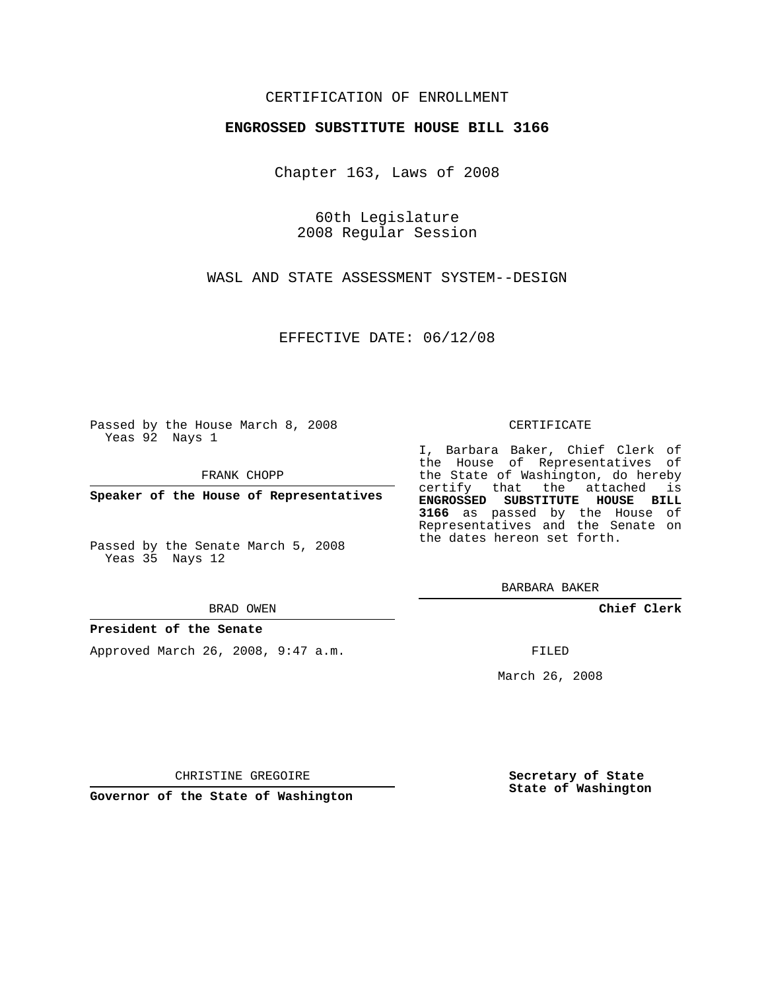## CERTIFICATION OF ENROLLMENT

### **ENGROSSED SUBSTITUTE HOUSE BILL 3166**

Chapter 163, Laws of 2008

60th Legislature 2008 Regular Session

WASL AND STATE ASSESSMENT SYSTEM--DESIGN

EFFECTIVE DATE: 06/12/08

Passed by the House March 8, 2008 Yeas 92 Nays 1

FRANK CHOPP

**Speaker of the House of Representatives**

Passed by the Senate March 5, 2008 Yeas 35 Nays 12

#### BRAD OWEN

## **President of the Senate**

Approved March 26, 2008, 9:47 a.m.

### CERTIFICATE

I, Barbara Baker, Chief Clerk of the House of Representatives of the State of Washington, do hereby certify that the attached is **ENGROSSED SUBSTITUTE HOUSE BILL 3166** as passed by the House of Representatives and the Senate on the dates hereon set forth.

BARBARA BAKER

**Chief Clerk**

FILED

March 26, 2008

CHRISTINE GREGOIRE

**Governor of the State of Washington**

**Secretary of State State of Washington**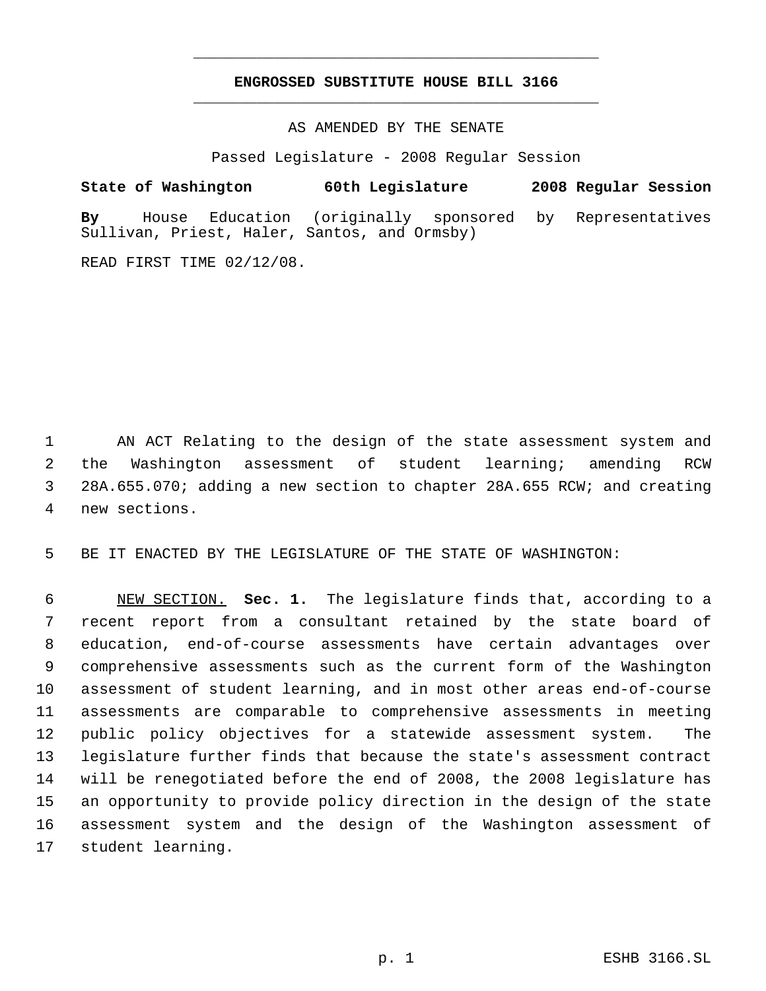# **ENGROSSED SUBSTITUTE HOUSE BILL 3166** \_\_\_\_\_\_\_\_\_\_\_\_\_\_\_\_\_\_\_\_\_\_\_\_\_\_\_\_\_\_\_\_\_\_\_\_\_\_\_\_\_\_\_\_\_

\_\_\_\_\_\_\_\_\_\_\_\_\_\_\_\_\_\_\_\_\_\_\_\_\_\_\_\_\_\_\_\_\_\_\_\_\_\_\_\_\_\_\_\_\_

AS AMENDED BY THE SENATE

Passed Legislature - 2008 Regular Session

**State of Washington 60th Legislature 2008 Regular Session By** House Education (originally sponsored by Representatives Sullivan, Priest, Haler, Santos, and Ormsby)

READ FIRST TIME 02/12/08.

 AN ACT Relating to the design of the state assessment system and the Washington assessment of student learning; amending RCW 28A.655.070; adding a new section to chapter 28A.655 RCW; and creating new sections.

BE IT ENACTED BY THE LEGISLATURE OF THE STATE OF WASHINGTON:

 NEW SECTION. **Sec. 1.** The legislature finds that, according to a recent report from a consultant retained by the state board of education, end-of-course assessments have certain advantages over comprehensive assessments such as the current form of the Washington assessment of student learning, and in most other areas end-of-course assessments are comparable to comprehensive assessments in meeting public policy objectives for a statewide assessment system. The legislature further finds that because the state's assessment contract will be renegotiated before the end of 2008, the 2008 legislature has an opportunity to provide policy direction in the design of the state assessment system and the design of the Washington assessment of student learning.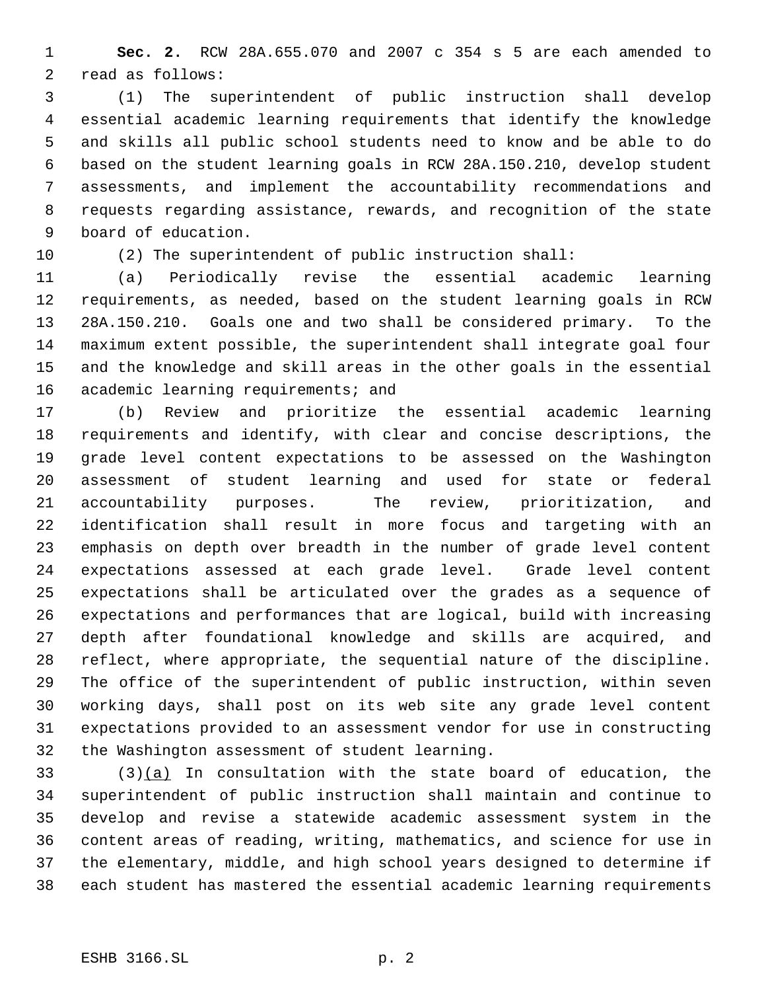**Sec. 2.** RCW 28A.655.070 and 2007 c 354 s 5 are each amended to read as follows:

 (1) The superintendent of public instruction shall develop essential academic learning requirements that identify the knowledge and skills all public school students need to know and be able to do based on the student learning goals in RCW 28A.150.210, develop student assessments, and implement the accountability recommendations and requests regarding assistance, rewards, and recognition of the state board of education.

(2) The superintendent of public instruction shall:

 (a) Periodically revise the essential academic learning requirements, as needed, based on the student learning goals in RCW 28A.150.210. Goals one and two shall be considered primary. To the maximum extent possible, the superintendent shall integrate goal four and the knowledge and skill areas in the other goals in the essential 16 academic learning requirements; and

 (b) Review and prioritize the essential academic learning requirements and identify, with clear and concise descriptions, the grade level content expectations to be assessed on the Washington assessment of student learning and used for state or federal accountability purposes. The review, prioritization, and identification shall result in more focus and targeting with an emphasis on depth over breadth in the number of grade level content expectations assessed at each grade level. Grade level content expectations shall be articulated over the grades as a sequence of expectations and performances that are logical, build with increasing depth after foundational knowledge and skills are acquired, and reflect, where appropriate, the sequential nature of the discipline. The office of the superintendent of public instruction, within seven working days, shall post on its web site any grade level content expectations provided to an assessment vendor for use in constructing the Washington assessment of student learning.

 (3)(a) In consultation with the state board of education, the superintendent of public instruction shall maintain and continue to develop and revise a statewide academic assessment system in the content areas of reading, writing, mathematics, and science for use in the elementary, middle, and high school years designed to determine if each student has mastered the essential academic learning requirements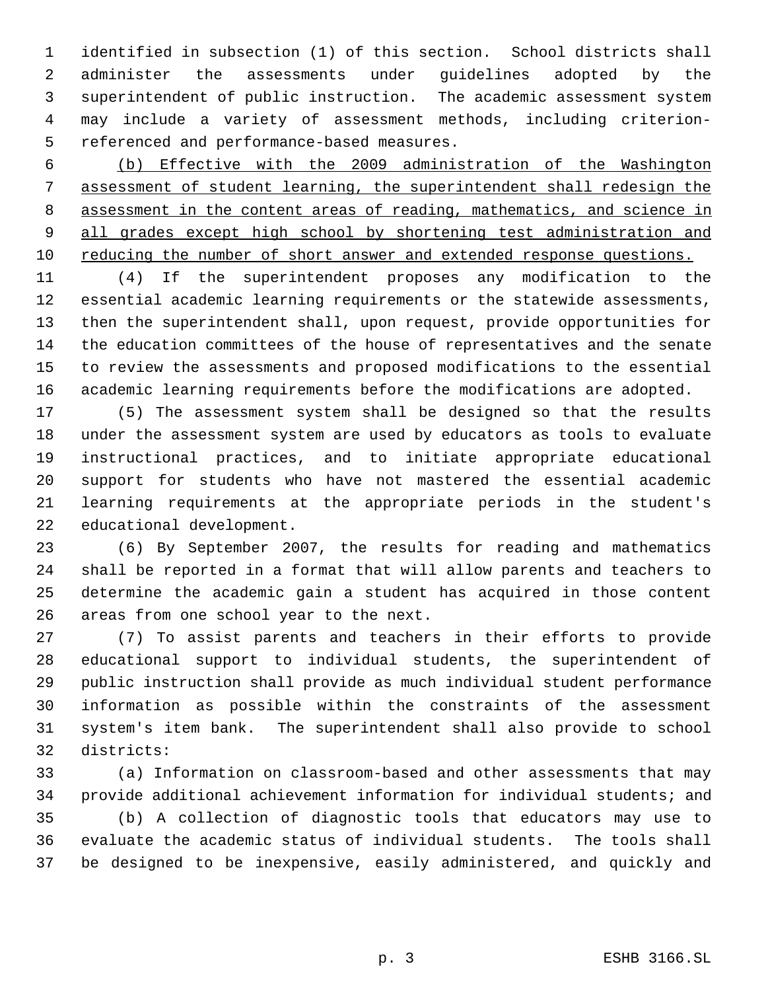identified in subsection (1) of this section. School districts shall administer the assessments under guidelines adopted by the superintendent of public instruction. The academic assessment system may include a variety of assessment methods, including criterion- referenced and performance-based measures.

 (b) Effective with the 2009 administration of the Washington assessment of student learning, the superintendent shall redesign the assessment in the content areas of reading, mathematics, and science in 9 all grades except high school by shortening test administration and reducing the number of short answer and extended response questions.

 (4) If the superintendent proposes any modification to the essential academic learning requirements or the statewide assessments, then the superintendent shall, upon request, provide opportunities for the education committees of the house of representatives and the senate to review the assessments and proposed modifications to the essential academic learning requirements before the modifications are adopted.

 (5) The assessment system shall be designed so that the results under the assessment system are used by educators as tools to evaluate instructional practices, and to initiate appropriate educational support for students who have not mastered the essential academic learning requirements at the appropriate periods in the student's educational development.

 (6) By September 2007, the results for reading and mathematics shall be reported in a format that will allow parents and teachers to determine the academic gain a student has acquired in those content areas from one school year to the next.

 (7) To assist parents and teachers in their efforts to provide educational support to individual students, the superintendent of public instruction shall provide as much individual student performance information as possible within the constraints of the assessment system's item bank. The superintendent shall also provide to school districts:

 (a) Information on classroom-based and other assessments that may provide additional achievement information for individual students; and

 (b) A collection of diagnostic tools that educators may use to evaluate the academic status of individual students. The tools shall be designed to be inexpensive, easily administered, and quickly and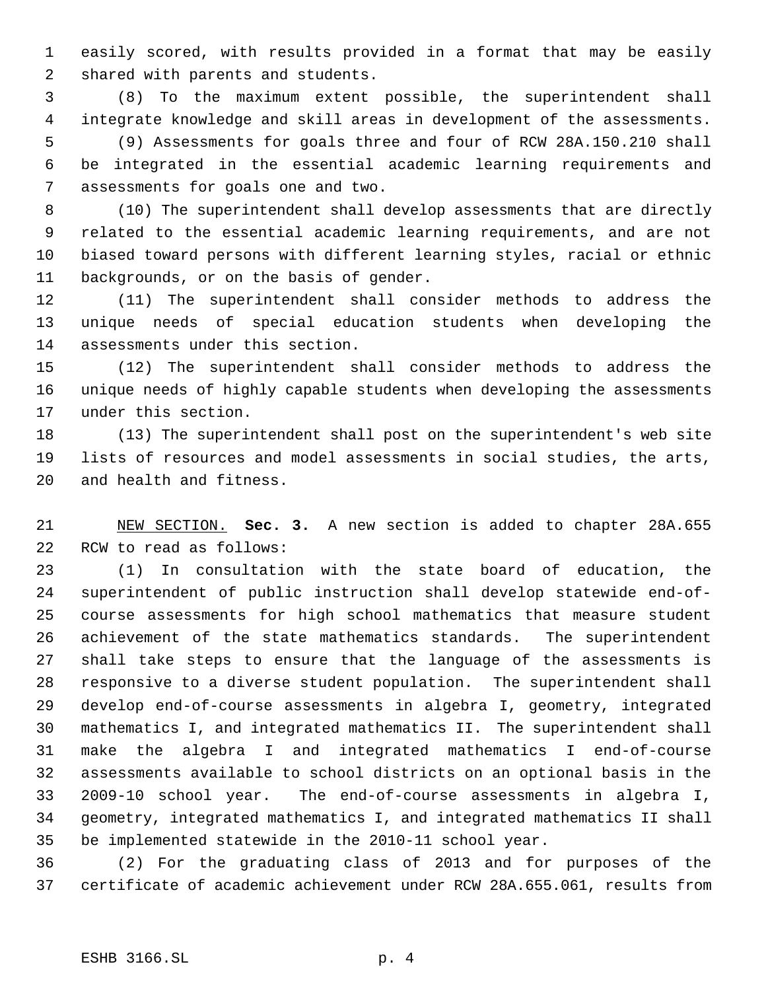easily scored, with results provided in a format that may be easily shared with parents and students.

 (8) To the maximum extent possible, the superintendent shall integrate knowledge and skill areas in development of the assessments. (9) Assessments for goals three and four of RCW 28A.150.210 shall be integrated in the essential academic learning requirements and assessments for goals one and two.

 (10) The superintendent shall develop assessments that are directly related to the essential academic learning requirements, and are not biased toward persons with different learning styles, racial or ethnic backgrounds, or on the basis of gender.

 (11) The superintendent shall consider methods to address the unique needs of special education students when developing the assessments under this section.

 (12) The superintendent shall consider methods to address the unique needs of highly capable students when developing the assessments under this section.

 (13) The superintendent shall post on the superintendent's web site lists of resources and model assessments in social studies, the arts, and health and fitness.

 NEW SECTION. **Sec. 3.** A new section is added to chapter 28A.655 RCW to read as follows:

 (1) In consultation with the state board of education, the superintendent of public instruction shall develop statewide end-of- course assessments for high school mathematics that measure student achievement of the state mathematics standards. The superintendent shall take steps to ensure that the language of the assessments is responsive to a diverse student population. The superintendent shall develop end-of-course assessments in algebra I, geometry, integrated mathematics I, and integrated mathematics II. The superintendent shall make the algebra I and integrated mathematics I end-of-course assessments available to school districts on an optional basis in the 2009-10 school year. The end-of-course assessments in algebra I, geometry, integrated mathematics I, and integrated mathematics II shall be implemented statewide in the 2010-11 school year.

 (2) For the graduating class of 2013 and for purposes of the certificate of academic achievement under RCW 28A.655.061, results from